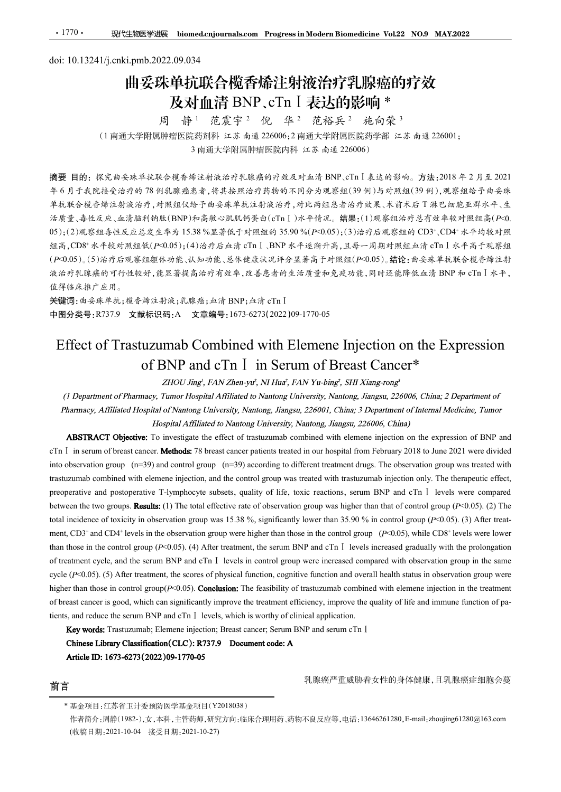# doi: 10.13241/j.cnki.pmb.2022.09.034 曲妥珠单抗联合榄香烯注射液治疗乳腺癌的疗效 及对血清 BNP、cTn Ⅰ 表达的影响 \*<br>周 静<sup>1</sup> 范震宇<sup>2</sup> 倪 华<sup>2</sup> 范裕兵<sup>2</sup> 施向荣<sup>3</sup>

范震宇<sup>2</sup> 倪 华<sup>2</sup> 范裕兵<sup>2</sup> 施向荣<sup>3</sup>

(1 南通大学附属肿瘤医院药剂科 江苏 南通 226006;2 南通大学附属医院药学部 江苏 南通 226001;<br>(1 南通大学附属肿瘤医院药剂科 江苏 南通 226006;2 南通大学附属医院药学部 江苏 南通 226001; <sup>3</sup> 南通大学附属肿瘤医院内科 江苏 南通 <sup>226006</sup>)

摘要 目的:探究曲妥珠单抗联合榄香烯注射液治疗乳腺癌的疗效及对血清 BNP、cTnⅠ表达的影响。方法:2018 年 2 月至 2021 年 6 月于我院接受治疗的 78 例乳腺癌患者,将其按照治疗药物的不同分为观察组(39 例)与对照组(39 例),观察组给予曲妥珠 单抗联合榄香烯注射液治疗,对照组仅给予曲妥珠单抗注射液治疗,对比两组患者治疗效果、术前术后 T 淋巴细胞亚群水平、生 活质量、毒性反应、血清脑利钠肽(BNP)和高敏心肌肌钙蛋白(cTnⅠ)水平情况。结果:(1)观察组治疗总有效率较对照组高(P<0. 1770 · 职性被医学进展 biomedicationmals.com Progress.in Modern Biomedicine Vol.22 NO.9 MAY2022<br>
001:10.13241/j.cnki.pmb.2022.09.034<br> **11.11 妥珠单抗联合航官标准 Progress.in Modern Biomedicine Vol.22 NO.9 MAY2022<br>
11.11 安珠单行联合航官标准 BNP、CTn** 、CD4+ 水平均较对照 组高,CD8+ 水平较对照组低(P<0.05);(4)治疗后血清 cTnⅠ、BNP 水平逐渐升高,且每一周期对照组血清 cTnⅠ水平高于观察组 (P<0.05)。(5)治疗后观察组躯体功能、认知功能、总体健康状况评分显著高于对照组(P<0.05)。结论:曲妥珠单抗联合榄香烯注射 液治疗乳腺癌的可行性较好,能显著提高治疗有效率,改善患者的生活质量和免疫功能,同时还能降低血清 BNP 和 cTnⅠ水平, 值得临床推广应用。 Effect of Trastuzumab Combined with Elemene Injection on the Expression of BNP and cTn<sup>Ⅰ</sup> in Serum of Breast Cancer\* correspondent and the effect of trastuzumab combined with element injection on the expression of  $\sim$  investigate the effect of trasturation of  $\sim$  in  $\sim$  in  $\sim$  in  $\sim$  in  $\sim$  in  $\sim$  in  $\sim$  in  $\sim$  in  $\sim$  in  $\sim$ + xHO serum of Pharmacy, diffilesed In Phips is a Nature Research in serum of breast cancer. The capcitation of the cancer patients treated in the cancer of the cancer of the cancer of the cancer of the patients treated

关键词:曲妥珠单抗;榄香烯注射液;乳腺癌;血清 BNP;血清 cTnⅠ 中图分类号:R737.9 文献标识码:A 文章编号:1673-6273(2022)09-1770-05

into (1992年) 2. The observation group of Pharmacy (1992年) and the control group was treated with tristingation for N=47 and control group (n=39) and control group (n=39) and control group (n=39) and control group (n=39) the masses of Pharmases ( $\pm$  2003), (4)  $\theta$  and  $\theta$  and  $\theta$  and  $\theta$  and  $\theta$  and  $\theta$  and  $\theta$  and  $\theta$  and  $\theta$  and  $\theta$  and  $\theta$  and  $\theta$  and  $\theta$  and  $\theta$  and  $\theta$  and  $\theta$  and  $\theta$  and  $\theta$  and  $\theta$  and  $\theta$  and prevent in the postoperative and postoperative and postoperative and postoperative T-lymphocyte subsets, and prevent in the comparison of END and cTn 1 in Serum BNP and cTn in the serum BNP and cPlus in the serum BNP and between the two groups. (1) The total effective rate of observation group was higher than that of control group (P<0.05). (2) The to  $\theta$  is the set of the set of the set of toxic incidence of toxic incidence of toxic in the set of toxic incidence of toxic in the set of the set of the set of the set of the set of the set of the set of the set of th  $\gamma$  and  $\alpha$ <br>  $\gamma$  and the search of the search of the significantly and the control group (F-0.05).<br>
Few the significant and experiment of Trastuzumab Combined with Elemenc Injection on<br>
of Trastuzumab Combined with El *收*ξ +\$ (3.3 + 38, <sub>5</sub> (1, 9), **a** 2, 2) (3, 2) (3, 2) (3, 2) (3, 2) (3, 2) (3, 2) (3, 2) (3, 2) (3, 2) (3, 2) (3, 2) (3, 2) (3, 2) (3, 2) (3, 2) (3, 2) (3, 2) (3, 2) (3, 2) (3, 2) (3, 2) (3, 2) (3, 2) (3, 2) (3, 2) (3 Example 1<br>
Superiment of<br>
Expansion of BNP and<br>
1021 were divided<br>
2021 were divided<br>
2021 were divided<br>
2021 were divided<br>
2021 were divided<br>
2021 were divided<br>
2021 The<br>
1 Superior (F-C0.05). (2) The<br>
5). (3) After trea **NET CONTIFICATE AND THE CONTROL GROUP CONTROL GROUP (P-0.05).** The control group (P-0.05). (4) After treatment of the control group (P-0.05). (4) After treatment of The CHTNP and CTn I in Serum BNP and cTn in Eurinor *H* **FIGENT OF Trastituzumab Combined with Elemene Injection on the Expression**<br>
of BNP and cTn I in Serum of Breast Cancer\*<br>
(*I Department of Phannes, Tuminage Unitersity, N1 linet, LAN Yu-bing? SHI Ximg-rong?<br>
(<i>I Departm* Effect of Trastuzumab Combined with Elemene Injection on the Expression of BNP and cTn I in Serum of Breast Cancer\*<br>
(*i* Department of Pharmacy, *inmor Isspinal Aftiliaed to Namong University, Namong Jimgay, 20006, China* ETIECT OT I TRISUIZUMIAD COMMONIME EIGHT EIGHT ON THE EXPRESSION<br>
of BYP and CT I in Serume of *Thumay, Thim is the magnital Affiliand to Name Islands in Syling, FMX Yare-yiel, <i>Hilliand Syling, Thure Happins Affiliand wa* **of BNP and cTn** I in Serum of Breast Cancer\*<br>
(*i* Department of Pharmacy, *Tameling in ANN Zinen-yei, NI Isaic, IAN Yu-bing?, SHI Kimg-rong?*<br>
(*i* Department of Pharmacy, *Affilianced brequited Affilianced to Nature o* 2HOU Jingi, I-AN Zhen-yu<sup>2</sup>, NH Isar), I-Hay <sup>2</sup> HAY Yu-bing<sup>2</sup>, SHI Xang-rong<sup>2</sup><br> *Pharmacy, Affiliated Hogalia of Naturea University, Nantong University, Nantong Jingsu, 226066, China; 2 Department of<br>
<i>Pharmacy, Affili* the of Pharmacy, Timeser Hoppinal Affiliande to Nantong University, Nantong, Jiangs., 226006, China; 2 Department of<br>Tiliated Hospital of Nantong University, Nantong University, Nantong, Jiangs., 226006, China; 2 Departme

前言 前言 初期 医二乙酸 医二乙酸 医乳腺癌严重威胁着女性的身体健康,且乳腺癌症细胞会蔓

<sup>\*</sup> 基金项目:江苏省卫计委预防医学基金项目(Y2018038)

作者简介:周静(1982-),女,本科,主管药师,研究方向:临床合理用药、药物不良反应等,电话:13646261280,E-mail:zhoujing61280@163.com (收稿日期:2021-10-04 接受日期:2021-10-27)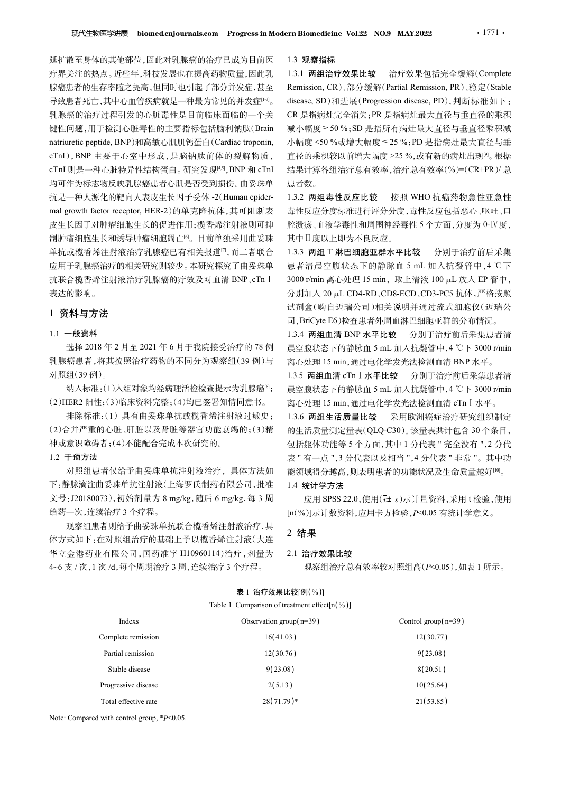延扩散至身体的其他部位,因此对乳腺癌的治疗已成为目前医 疗界关注的热点。近些年,科技发展也在提高药物质量,因此乳 腺癌患者的生存率随之提高,但同时也引起了部分并发症,甚至 Remission, CR)、部分缓解(Partial Remission, PR)、稳定(Stable 导致患者死亡,其中心血管疾病就是一种最为常见的并发症[13]。 乳腺癌的治疗过程引发的心脏毒性是目前临床面临的一个关 键性问题,用于检测心脏毒性的主要指标包括脑利钠肽(Brain 减小幅度≥50%;SD是指所有病灶最大直径与垂直径乘积减 现代生物医学进展 biomed.cnjournals.com Progressin Modern Biomedicine Vol.22 NO.9 MAY.2022 1771.<br><br>延扩散至身体的其他部位,因此对乳腺癌的治疗已成为目前医 1.3 观察指标<br>腺癌患者的生存率随之提高,但同时也引起了部分并发症,甚至 Remission, CR),部分缓解(Partial Remission, PR),稳定(Stable<br>原癌患者死亡,其中心血 cTnI), BNP 主要于心室中形成,是脑钠肽前体的裂解物质, 直径的乘积较以前增大幅度 >25 %,或有新的病灶出现<sup>[9]</sup>。根据 cTnI 则是一种心脏特异性结构蛋白。研究发现[4,5], BNP 和 cTnI 均可作为标志物反映乳腺癌患者心肌是否受到损伤。曲妥珠单 <mark>现性細度学過展 biomed.cnjournals.com Progressin Modern Biomedicine Vol.22 NO.9 MAY2022 - 1771 ·<br>種字散至身体的其他部位、因此对乳腺癌的治疗已成为目前医 -1.3 观察指标<br>好关注的热点。近些年,科技发展也在弱高荷粉质量、IB比乳 -1.3 观察指标<br>整个关注的热点。近些年,科技发展也在高高荷粉质量、IB比乳 -1.3 观察指象 -2 治疗效果比较</mark> 要代生物医学进展 biomed.cnjournals.com Progress in Modern Biomedicine Vol.22 NO.9 MAY.2022<br>延扩散至身体的其他部位,因此对乳腺癌的治疗已成为目前医 1.3 观察指标<br>疗界关注的热点。近些年、科技发展也在提高药物质量,因此乳 1.3.1 两组治疗效果比较 治疗效果包括完全<br>服务患者的生存率随之提高,但同时也引起了部分并发症、甚至 Remission、CR、部分/缓 皮生长因子对肿瘤细胞生长的促进作用;榄香烯注射液则可抑 制肿瘤细胞生长和诱导肿瘤细胞凋亡[6]。目前单独采用曲妥珠 单抗或榄香烯注射液治疗乳腺癌已有相关报道[7],而二者联合 应用于乳腺癌治疗的相关研究则较少。本研究探究了曲妥珠单。患者清晨空腹状态下的静脉血5mL加入抗凝管中,4℃下 抗联合榄香烯注射液治疗乳腺癌的疗效及对血清 BNP、cTn Ⅰ 3000 r/min 离心处理 15 min, 取上清液 100 μL 放入 EP 管中, 表达的影响。

# 1 资料与方法

# 1.1 一般资料

乳腺癌患者,将其按照治疗药物的不同分为观察组(39例)与 离心处理15 min,通过电化学发光法检测血清 BNP 水平。 对照组(39 例)。

# 1.2 干预方法

# 1.3 观察指标

disease, SD)和进展(Progression disease, PD), 判断标准如下: ,BNP 和 cTnI 结果计算各组治疗总有效率,治疗总有效率(%)=(CR+PR)/ 总 1.3.1 两组治疗效果比较 治疗效果包括完全缓解(Complete ern Biomedicine Vol.22 NO.9 MAY.2022 · · 1771 ·<br>1.3 观察指标<br>1.3.1 两组治疗效果比较 治疗效果包括完全缓解(Complete<br>Remission, CR)、部分缓解(Partial Remission, PR)、稳定(Stable<br>disease, SD)和进展(Progression disease, PD),判断标准如下:<br>CR 是指病灶完全消失;PR 是指病灶最大直径与垂 rn Biomedicine Vol.22 NO.9 MAY.2022 · 1771 ·<br>1.3 观察指标<br>1.3.1 两组治疗效果比较 治疗效果包括完全缓解(Complete<br>Remission, CR)、部分缓解(Partial Remission, PR)、稳定(Stable<br>disease, SD)和进展(Progression disease, PD),判断标准如下:<br>CR 是指病灶完全消失;PR 是指病灶最大直径与垂直径的乘 CR 是指病灶完全消失;PR 是指病灶最大直径与垂直径的乘积 rn Biomedicine Vol.22 NO.9 MAY.2022 · 1771 ·<br>1.3 观察指标<br>1.3.1 两组治疗效果比较 治疗效果包括完全缓解(Complete<br>Remission, CR)、部分缓解(Partial Remission, PR)、稳定(Stable<br>disease, SD)和进展(Progression disease, PD), 判断标准如下 :<br>CR 是指病灶完全消失;PR 是指病灶最大直径与垂直径 rn Biomedicine Vol.22 NO.9 MAY.2022 · 1771 ·<br>1.3 观察指标<br>1.3.1 两组治疗效果比较 治疗效果包括完全缓解(Complete<br>Remission, CR)、部分缓解(Partial Remission, PR)、稳定(Stable<br>disease, SD)和进展(Progression disease, PD), 判断标准如下:<br>CR 是指病灶完全消失;PR 是指病灶最大直径与垂直径乘 rn Biomedicine Vol.22 NO.9 MAY.2022 · 1771 ·<br>1.3 观察指标<br>1.3.1 两组治疗效果比较 治疗效果包括完全缓解(Complete<br>Remission, CR)、部分缓解(Partial Remission, PR)、稳定(Stable<br>disease, SD)和进展(Progression disease, PD), 判断标准如下:<br>CR 是指病灶完全消失; PR 是指病灶最大直径与垂直径 患者数。 srn Biomedicine Vol.22 NO.9 MAY.2022 <br>1.3.1 两组治疗效果比较 治疗效果包括完全缓解(Complete Remission, CR)、部分缓解(Partial Remission, PR)、稳定(Stable Remission, CR)、部分缓解(Partial Remission, PR)、稳定(Stable Remission, CR)、部分缓解(Partial Remission, P 1.13.1 兩組市 Volaz No.5 man.19922<br>
1.3.1 两组治疗效果比较 治疗效果包括完全缓解(Complete Remission, CR)、部分缓解(Partial Remission, PR)、稳定(Stable Remission, CR)、部分缓解(Partial Remission, PR)、稳定(Stable disease, SD)和进展(Progression disease, PD)、判断标准如 1.3 观察指标<br>
1.3.1 两组治疗效果比较 治疗效果包括完全缓解(Complete<br>
Remission, CR)、部分缓解(Partial Remission, PR)、稳定(Stable<br>
Remission, CR)、部分缓解(Partial Remission, PR)、稳定(Stable<br>
disease, SD)和进展(Progression disease, PD), 判断标准如下:<br>
CR 是指病灶完全消失;;; New Franch 7 x x x = " in a state and a complement of Relation (R), 部分缓解 (Partial Remission, CR), 部分缓解 (Partial Remission, PR), 稳定 (Stable<br>disease, SD)和进展 (Progression disease, PD), 判断标准如下:<br>CR 是指病灶完全消失; PR 是指病灶最大直径与垂直径的 5 α 5 07. md/k = cn = dates, 5 ml = cn = dates, 5 ml = cn = dates, 5 ml = cn = dates, 5 ml = dates, 5 ml = dates, 5 ml = dates, 5 ml = dates, 5 ml = dates, 5 ml = dates, 5 ml = dates, 5 ml = dates, 5 ml = dates, 5 ml =

1.3.2 两组毒性反应比较 按照 WHO 抗癌药物急性亚急性 毒性反应分度标准进行评分分度,毒性反应包括恶心、呕吐、口 腔溃疡、血液学毒性和周围神经毒性 5 个方面,分度为 0-Ⅳ度, 其中Ⅱ度以上即为不良反应。

文号:J20180073),初始剂量为 8 mg/kg,随后 6 mg/kg,每 <sup>3</sup> <sup>周</sup> 1.3.3 两组 T 淋巴细胞亚群水平比较 分别于治疗前后采集 试剂盒(购自迈瑞公司)相关说明并通过流式细胞仪(迈瑞公 离心处理 15 min,通过电化学发光法检测血清 BNP 水平。 晨空腹状态下的静脉血 5 mL 加入抗凝管中,<sup>4</sup> ℃<sup>下</sup> 3000 r/min 14.8.7%以前,需要进行的。下降,需要进行的公司,我们的生活质量测定,我们的工作要求,我们会有效率(在工作中工厂的工厂,在进行了公司的工厂,在工厂的工厂,在工厂的公司的公司,也只以上即为不良反应。<br>在专业反应分析准计行评分度,毒性反应因括恶心,呕吐、口气、促使病素,血液学毒性和周围神经毒性与应力分子,有一个时间,因此,以下下降,使用工厂以上即为不良反应。<br>主体反应分离性和周围神经毒性与应由,分别于治疗前后采集中。<br>在中II度以上即 应用 SPSS 22.0,使用(x<sup>±</sup> <sup>s</sup>)示计量资料,采用 <sup>t</sup> 检验,使用

选择 2018年 2月至 2021年 6月于我院接受治疗的 78 例 長 空腹状态下的静脉血 5 mL 加入抗凝管中, 4 ℃下 3000 r/min 1.3.4 两组血清 BNP 水平比较 分别于治疗前后采集患者清

# 1.4 统计学方法

# 2 结果

# 2.1 治疗效果比较

|                                                                                          | 乳脲癌患者,将具按照治打约物的个同分为观祭组(39 例)与                | 离心处理 15 min,迪过电化学发光法检测血清 BNP 水平。                     |
|------------------------------------------------------------------------------------------|----------------------------------------------|------------------------------------------------------|
| 对照组(39例)。                                                                                |                                              | 1.3.5 两组血清 cTn I 水平比较 分别于治疗前后采集患者清                   |
| 纳入标准:(1)入组对象均经病理活检检查提示为乳腺癌 <sup>[8]</sup> ;                                              |                                              | 晨空腹状态下的静脉血 5 mL 加入抗凝管中, 4 ℃下 3000 r/min              |
| (2)HER2 阳性;(3)临床资料完整;(4)均已签署知情同意书。                                                       |                                              | 离心处理 15 min, 通过电化学发光法检测血清 cTn I 水平。                  |
| 排除标准:(1) 具有曲妥珠单抗或榄香烯注射液过敏史;                                                              |                                              | 采用欧洲癌症治疗研究组织制定<br>1.3.6 两组生活质量比较                     |
| (2)合并严重的心脏、肝脏以及肾脏等器官功能衰竭的;(3)精                                                           |                                              | 的生活质量测定量表(QLQ-C30)。该量表共计包含30个条目,                     |
| 神或意识障碍者;(4)不能配合完成本次研究的。                                                                  |                                              | 包括躯体功能等5个方面,其中1分代表"完全没有",2分代                         |
| 1.2 干预方法                                                                                 |                                              | 表 "有一点", 3 分代表以及相当", 4 分代表 " 非常 "。其中功                |
| 对照组患者仅给予曲妥珠单抗注射液治疗, 具体方法如                                                                |                                              | 能领域得分越高,则表明患者的功能状况及生命质量越好 <sup>[10]</sup> 。          |
| 下:静脉滴注曲妥珠单抗注射液(上海罗氏制药有限公司,批准                                                             |                                              | 1.4 统计学方法                                            |
| 文号: J20180073), 初始剂量为 8 mg/kg, 随后 6 mg/kg, 每 3 周                                         |                                              | 应用 SPSS 22.0, 使用(x <sup>+</sup> s)示计量资料, 采用 t 检验, 使用 |
| 给药一次,连续治疗3个疗程。                                                                           |                                              | [n(%)]示计数资料,应用卡方检验, P<0.05 有统计学意义。                   |
|                                                                                          |                                              |                                                      |
| 观察组患者则给予曲妥珠单抗联合榄香烯注射液治疗,具                                                                |                                              |                                                      |
| 体方式如下:在对照组治疗的基础上予以榄香烯注射液(大连                                                              | 2 结果                                         |                                                      |
|                                                                                          |                                              | 2.1 治疗效果比较                                           |
|                                                                                          |                                              | 观察组治疗总有效率较对照组高(P<0.05),如表 1 所示。                      |
|                                                                                          |                                              |                                                      |
|                                                                                          | 表 1 治疗效果比较[例(%)]                             |                                                      |
|                                                                                          | Table 1 Comparison of treatment effect[n(%)] |                                                      |
| 华立金港药业有限公司,国药准字 H10960114)治疗,剂量为<br>4~6 支 / 次, 1 次 /d, 每个周期治疗 3 周, 连续治疗 3 个疗程。<br>Indexs | Observation group( $n=39$ )                  | Control group $(n=39)$                               |
| Complete remission                                                                       | 16(41.03)                                    | 12(30.77)                                            |
| Partial remission                                                                        | 12(30.76)                                    | 9(23.08)                                             |
| Stable disease                                                                           | 9(23.08)                                     | 8(20.51)                                             |
| Progressive disease                                                                      | 2(5.13)                                      | 10(25.64)                                            |
| Total effective rate                                                                     | 28(71.79)*                                   | 21(53.85)                                            |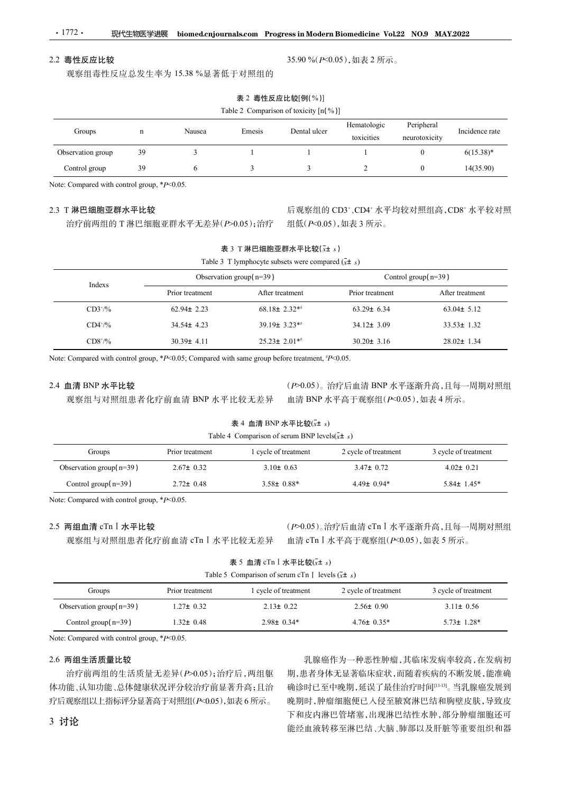# 现代生物医学进展 biomed.cnjournals.com Progress in Modern Biomedicine Vol.22 NO.9 MAY.2022  $.1772.$

# 2.2 毒性反应比较

| $\cdot$ 1772 $\cdot$                        | 现代生物医学进展    |                                 |                                                              | biomed.cnjournals.com Progress in Modern Biomedicine Vol.22 NO.9 MAY.2022 |                           |                             |                                      |  |  |
|---------------------------------------------|-------------|---------------------------------|--------------------------------------------------------------|---------------------------------------------------------------------------|---------------------------|-----------------------------|--------------------------------------|--|--|
| 2.2 毒性反应比较                                  |             |                                 |                                                              |                                                                           | 35.90%(P<0.05),如表 2 所示。   |                             |                                      |  |  |
|                                             |             | 观察组毒性反应总发生率为 15.38 %显著低于对照组的    |                                                              |                                                                           |                           |                             |                                      |  |  |
|                                             |             |                                 |                                                              | 表 2 毒性反应比较[例(%)]                                                          |                           |                             |                                      |  |  |
|                                             |             |                                 |                                                              | Table 2 Comparison of toxicity [n(%)]                                     |                           |                             |                                      |  |  |
| Groups                                      | $\mathbf n$ | Nausea                          | Emesis                                                       | Dental ulcer                                                              | Hematologic<br>toxicities | Peripheral<br>neurotoxicity | Incidence rate                       |  |  |
| Observation group                           | 39          | $\mathfrak{Z}$                  | $\mathbf{1}$                                                 | $\overline{1}$                                                            | $\mathbf{1}$              | $\overline{0}$              | $6(15.38)*$                          |  |  |
| Control group                               | 39          | 6                               | $\mathbf{3}$                                                 | $\mathfrak{Z}$                                                            | 2                         | $\overline{0}$              | 14(35.90)                            |  |  |
| Note: Compared with control group, *P<0.05. |             |                                 |                                                              |                                                                           |                           |                             |                                      |  |  |
|                                             |             |                                 |                                                              |                                                                           |                           |                             |                                      |  |  |
| 2.3 T 淋巴细胞亚群水平比较                            |             | 治疗前两组的 T 淋巴细胞亚群水平无差异(P>0.05);治疗 |                                                              |                                                                           | 组低(P<0.05),如表 3 所示。       |                             | 后观察组的 CD3+、CD4+ 水平均较对照组高, CD8+ 水平较对照 |  |  |
|                                             |             |                                 |                                                              | 表 3 T淋巴细胞亚群水平比较 $(\bar{x}$ ± s)                                           |                           |                             |                                      |  |  |
|                                             |             |                                 |                                                              |                                                                           |                           |                             |                                      |  |  |
|                                             |             |                                 | Table 3 T lymphocyte subsets were compared $(\bar{x} \pm s)$ |                                                                           |                           |                             |                                      |  |  |
|                                             |             |                                 | Observation group(n=39)                                      |                                                                           |                           | Control group $(n=39)$      |                                      |  |  |
| Indexs                                      |             | Prior treatment                 |                                                              | After treatment                                                           | Prior treatment           |                             | After treatment                      |  |  |

| 2.2 毒性反应比较                                                         | 观察组毒性反应总发生率为 15.38 %显著低于对照组的    |                                                                                                                                                                                      | 35.90%( $P<0.05$ ),如表 2 所示。                                                |                             |                      |
|--------------------------------------------------------------------|---------------------------------|--------------------------------------------------------------------------------------------------------------------------------------------------------------------------------------|----------------------------------------------------------------------------|-----------------------------|----------------------|
|                                                                    |                                 | 表 2 毒性反应比较[例(%)]                                                                                                                                                                     |                                                                            |                             |                      |
|                                                                    |                                 | Table 2 Comparison of toxicity $[n(\%)]$                                                                                                                                             |                                                                            |                             |                      |
| Groups                                                             | Nausea<br>$\mathbf n$           | Dental ulcer<br>Emesis                                                                                                                                                               | Hematologic<br>toxicities                                                  | Peripheral<br>neurotoxicity | Incidence rate       |
| Observation group                                                  | 39<br>3                         | $\mathbf{1}$                                                                                                                                                                         |                                                                            | $\bf{0}$                    | $6(15.38)^*$         |
| Control group                                                      | 39<br>6                         | $\mathbf{3}$<br>3                                                                                                                                                                    | 2                                                                          | $\mathbf{0}$                | 14(35.90)            |
| Note: Compared with control group, $*P<0.05$ .<br>2.3 T 淋巴细胞亚群水平比较 | 治疗前两组的 T 淋巴细胞亚群水平无差异(P>0.05);治疗 |                                                                                                                                                                                      | 后观察组的 CD3+、CD4+ 水平均较对照组高, CD8+ 水平较对照<br>组低(P<0.05),如表 3 所示。                |                             |                      |
|                                                                    |                                 | 表 3 T 淋巴细胞亚群水平比较(x+ s)                                                                                                                                                               |                                                                            |                             |                      |
|                                                                    |                                 | Table 3 T lymphocyte subsets were compared $(\bar{x} \pm s)$                                                                                                                         |                                                                            |                             |                      |
| Indexs                                                             |                                 | Observation group $(n=39)$                                                                                                                                                           | Control group $(n=39)$                                                     |                             |                      |
|                                                                    | Prior treatment                 | After treatment                                                                                                                                                                      | Prior treatment                                                            |                             | After treatment      |
| $CD3+/9/6$                                                         | $62.94 \pm 2.23$                | $68.18 \pm 2.32**$                                                                                                                                                                   | $63.29 \pm 6.34$                                                           |                             | $63.04 \pm 5.12$     |
| $CD4^{+/9}/6$                                                      | 34.54± 4.23                     | 39.19± 3.23**                                                                                                                                                                        | 34.12± 3.09                                                                |                             | $33.53 \pm 1.32$     |
| $CD8^{+/9/6}$                                                      | $30.39 \pm 4.11$                | $25.23 \pm 2.01**$                                                                                                                                                                   | $30.20 \pm 3.16$                                                           |                             | 28.02± 1.34          |
| 2.4 血清 BNP 水平比较                                                    | 观察组与对照组患者化疗前血清 BNP 水平比较无差异      | Note: Compared with control group, *P<0.05; Compared with same group before treatment, #P<0.05.<br>表 4 血清 BNP 水平比较(x+ s)<br>Table 4 Comparison of serum BNP levels $(\bar{x} \pm s)$ | (P>0.05)。治疗后血清 BNP 水平逐渐升高,且每一周期对照组<br>血清 BNP 水平高于观察组 (P<0.05), 如表 4 所示。    |                             |                      |
| Groups                                                             | Prior treatment                 | 1 cycle of treatment                                                                                                                                                                 | 2 cycle of treatment                                                       |                             | 3 cycle of treatment |
| Observation group( $n=39$ )                                        | $2.67 \pm 0.32$                 | $3.10 \pm 0.63$                                                                                                                                                                      | $3.47 \pm 0.72$                                                            |                             | $4.02 \pm 0.21$      |
| Control group $(n=39)$                                             | $2.72 \pm 0.48$                 | $3.58 \pm 0.88*$                                                                                                                                                                     | $4.49 \pm 0.94*$                                                           |                             | $5.84 \pm 1.45*$     |
| Note: Compared with control group, $*P<0.05$ .                     |                                 |                                                                                                                                                                                      |                                                                            |                             |                      |
| 2.5 两组血清 cTn I 水平比较                                                | 观察组与对照组患者化疗前血清 cTn I 水平比较无差异    |                                                                                                                                                                                      | (P>0.05)。治疗后血清 cTn I 水平逐渐升高,且每一周期对照组<br>血清 cTn I 水平高于观察组(P<0.05), 如表 5 所示。 |                             |                      |

# 2.4 血清 BNP 水平比较

# 表 4 血清 BNP 水平比较 $(x \pm s)$

| Table 4 Comparison of serum BNP levels $(x \pm s)$ |  |  |
|----------------------------------------------------|--|--|
|                                                    |  |  |

| $CD8^{+/9/6}$                                                                                              | $30.39 \pm 4.11$                                                              | $25.23 \pm 2.01**$                                                                        | $30.20 \pm 3.16$                  | $28.02 \pm 1.34$                        |
|------------------------------------------------------------------------------------------------------------|-------------------------------------------------------------------------------|-------------------------------------------------------------------------------------------|-----------------------------------|-----------------------------------------|
| Note: Compared with control group, *P<0.05; Compared with same group before treatment, $\frac{*p}{0.05}$ . |                                                                               |                                                                                           |                                   |                                         |
| 2.4 血清 BNP 水平比较                                                                                            |                                                                               |                                                                                           |                                   | (P>0.05)。治疗后血清 BNP 水平逐渐升高,且每一周期对照组      |
| 观察组与对照组患者化疗前血清 BNP 水平比较无差异                                                                                 |                                                                               |                                                                                           | 血清 BNP 水平高于观察组 (P<0.05), 如表 4 所示。 |                                         |
|                                                                                                            |                                                                               | 表 4 血清 BNP 水平比较(x+ s)                                                                     |                                   |                                         |
|                                                                                                            |                                                                               | Table 4 Comparison of serum BNP levels( $\bar{x}$ ± s)                                    |                                   |                                         |
| Groups                                                                                                     | 1 cycle of treatment<br>Prior treatment<br>$2.67 \pm 0.32$<br>$3.10 \pm 0.63$ |                                                                                           | 2 cycle of treatment              | 3 cycle of treatment<br>$4.02 \pm 0.21$ |
| Observation group( $n=39$ )                                                                                |                                                                               |                                                                                           | $3.47 \pm 0.72$                   |                                         |
| Control group $(n=39)$                                                                                     | $2.72 \pm 0.48$                                                               | $3.58 \pm 0.88^*$                                                                         | $4.49 \pm 0.94*$                  | $5.84 \pm 1.45*$                        |
| 2.5 两组血清 cTn I 水平比较<br>观察组与对照组患者化疗前血清 cTn I 水平比较无差异                                                        |                                                                               | 表 5 血清 cTn I 水平比较 $(x + s)$<br>Table 5 Comparison of serum cTn I levels $(\bar{x} \pm s)$ | 血清 cTn I 水平高于观察组(P<0.05),如表 5 所示。 | (P>0.05)。治疗后血清 cTn I 水平逐渐升高,且每一周期对照组    |
| Groups                                                                                                     | Prior treatment<br>1 cycle of treatment                                       |                                                                                           | 2 cycle of treatment              | 3 cycle of treatment                    |
| Observation group(n=39)                                                                                    | $1.27 \pm 0.32$                                                               | $2.13 \pm 0.22$                                                                           | $2.56 \pm 0.90$                   | $3.11 \pm 0.56$                         |
| Control group $(n=39)$                                                                                     | $1.32 \pm 0.48$                                                               | $2.98 \pm 0.34*$                                                                          | $4.76 \pm 0.35^*$                 | $5.73 \pm 1.28$ *                       |
| Note: Compared with control group, *P<0.05.                                                                |                                                                               |                                                                                           |                                   |                                         |
| 2.6 两组生活质量比较                                                                                               |                                                                               |                                                                                           |                                   | 乳腺癌作为一种恶性肿瘤,其临床发病率较高,在发病初               |
| 治疗前两组的生活质量无差异(P>0.05);治疗后,两组躯                                                                              |                                                                               |                                                                                           |                                   | 期,患者身体无显著临床症状,而随着疾病的不断发展,能准确            |
| 体功能、认知功能、总体健康状况评分较治疗前显著升高;且治                                                                               |                                                                               |                                                                                           |                                   | 确诊时已至中晚期,延误了最佳治疗时间[1-13]。当乳腺癌发展到        |
| 房户证炭如DLL投信设入且黄宜工进取组(n/0.05) 茄圭(皖宁)                                                                         |                                                                               |                                                                                           |                                   | 咯地哇 肺病如防屈己 计尽式筛索进用处轨险眩声吐 巴弥市            |

# 2.5 两组血清 cTnⅠ水平比较

| 表 5 血清 cTn I 水平比较 $(x \pm s)$ |
|-------------------------------|
|-------------------------------|

| able 5 Comparison of serum cTn I levels $(x \pm s)$ |  |  |
|-----------------------------------------------------|--|--|
|-----------------------------------------------------|--|--|

| Groups                      | Prior treatment | 1 cycle of treatment | 2 cycle of treatment | 3 cycle of treatment |
|-----------------------------|-----------------|----------------------|----------------------|----------------------|
| Observation group( $n=39$ ) | $1.27 \pm 0.32$ | $2.13 \pm 0.22$      | $2.56 \pm 0.90$      | $3.11 \pm 0.56$      |
| Control group $(n=39)$      | $1.32 \pm 0.48$ | $2.98 \pm 0.34*$     | $4.76 \pm 0.35^*$    | $5.73 \pm 1.28^*$    |

# 2.6 两组生活质量比较

治疗前两组的生活质量无差异(P>0.05);治疗后,两组躯 体功能、认知功能、总体健康状况评分较治疗前显著升高;且治 疗后观察组以上指标评分显著高于对照组(P<0.05),如表 6 所示。

乳腺癌作为一种恶性肿瘤,其临床发病率较高,在发病初 期,患者身体无显著临床症状,而随着疾病的不断发展,能准确 确诊时已至中晚期,延误了最佳治疗时间[11-13]。当乳腺癌发展到 晚期时,肿瘤细胞便已入侵至腋窝淋巴结和胸壁皮肤,导致皮 下和皮内淋巴管堵塞,出现淋巴结性水肿,部分肿瘤细胞还可 能经血液转移至淋巴结、大脑、肺部以及肝脏等重要组织和器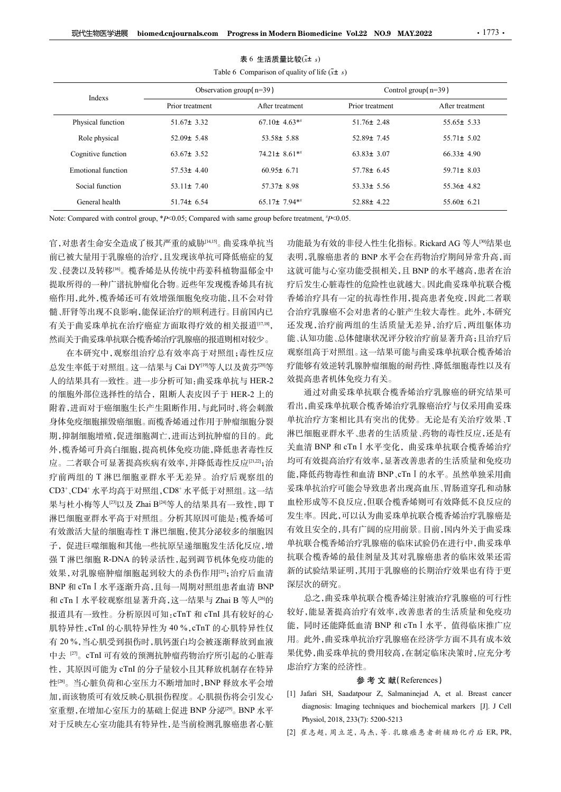|                                                                                                       |                                    | 表 6 生活质量比较 $(\bar{x}$ ± s) | Table 6 Comparison of quality of life $(x \pm s)$ |                  |                                                  |
|-------------------------------------------------------------------------------------------------------|------------------------------------|----------------------------|---------------------------------------------------|------------------|--------------------------------------------------|
|                                                                                                       | Observation group $(n=39)$         |                            | Control group(n=39)                               |                  |                                                  |
| Indexs                                                                                                | Prior treatment<br>After treatment |                            |                                                   | Prior treatment  | After treatment                                  |
| Physical function                                                                                     | $51.67 \pm 3.32$                   | $67.10\pm 4.63**$          |                                                   | $51.76 \pm 2.48$ | $55.65 \pm 5.33$                                 |
| Role physical                                                                                         | $52.09 \pm 5.48$                   | $53.58 \pm 5.88$           |                                                   | $52.89 \pm 7.45$ | $55.71 \pm 5.02$                                 |
| Cognitive function                                                                                    | $63.67 \pm 3.52$                   | $74.21 \pm 8.61$ **        |                                                   | $63.83 \pm 3.07$ | $66.33 \pm 4.90$                                 |
| <b>Emotional</b> function                                                                             | $57.53 \pm 4.40$                   | $60.95 \pm 6.71$           |                                                   | $57.78 \pm 6.45$ | 59.71 $\pm$ 8.03                                 |
| Social function                                                                                       | $53.11 \pm 7.40$                   | 57.37± 8.98                |                                                   | $53.33 \pm 5.56$ | $55.36 \pm 4.82$                                 |
|                                                                                                       |                                    |                            |                                                   |                  |                                                  |
| General health                                                                                        | $51.74 \pm 6.54$                   | 65.17± 7.94**              |                                                   | $52.88 \pm 4.22$ | $55.60 \pm 6.21$                                 |
| Note: Compared with control group, $*P<0.05$ ; Compared with same group before treatment, $*P<0.05$ . |                                    |                            |                                                   |                  |                                                  |
| 官,对患者生命安全造成了极其严重的威胁[14,15]。曲妥珠单抗当                                                                     |                                    |                            |                                                   |                  | 功能最为有效的非侵入性生化指标。Rickard AG 等人 <sup>[90</sup> 结果也 |
| 前已被大量用于乳腺癌的治疗,且发现该单抗可降低癌症的复                                                                           |                                    |                            |                                                   |                  | 表明,乳腺癌患者的 BNP 水平会在药物治疗期间异常升高,而                   |
| 发、侵袭以及转移吗。榄香烯是从传统中药姜科植物温郁金中                                                                           |                                    |                            |                                                   |                  | 这就可能与心室功能受损相关,且 BNP 的水平越高,患者在治                   |
|                                                                                                       |                                    |                            |                                                   |                  |                                                  |
| 提取所得的一种广谱抗肿瘤化合物。近些年发现榄香烯具有抗                                                                           |                                    |                            |                                                   |                  | 疗后发生心脏毒性的危险性也就越大。因此曲妥珠单抗联合榄                      |
| 癌作用,此外,榄香烯还可有效增强细胞免疫功能,且不会对骨                                                                          |                                    |                            |                                                   |                  | 香烯治疗具有一定的抗毒性作用,提高患者免疫,因此二者联                      |
| 髓、肝肾等出现不良影响,能保证治疗的顺利进行。目前国内已                                                                          |                                    |                            |                                                   |                  | 合治疗乳腺癌不会对患者的心脏产生较大毒性。此外,本研究                      |
| 有关于曲妥珠单抗在治疗癌症方面取得疗效的相关报道[17,18],                                                                      |                                    |                            |                                                   |                  | 还发现,治疗前两组的生活质量无差异,治疗后,两组躯体功                      |
| 然而关于曲妥珠单抗联合榄香烯治疗乳腺癌的报道则相对较少。                                                                          |                                    |                            |                                                   |                  | 能、认知功能、总体健康状况评分较治疗前显著升高;且治疗后                     |
|                                                                                                       | 在本研究中, 观察组治疗总有效率高于对照组; 毒性反应        |                            |                                                   |                  | 观察组高于对照组。这一结果可能与曲妥珠单抗联合榄香烯治                      |
| 总发生率低于对照组。这一结果与 Cai DY <sup>[19]</sup> 等人以及黄芬 <sup>[20]</sup> 等                                       |                                    |                            |                                                   |                  | 疗能够有效逆转乳腺肿瘤细胞的耐药性、降低细胞毒性以及有                      |
|                                                                                                       |                                    |                            |                                                   | 效提高患者机体免疫力有关。    |                                                  |
|                                                                                                       |                                    |                            |                                                   |                  | 通过对曲妥珠单抗联合榄香烯治疗乳腺癌的研究结果可                         |
|                                                                                                       |                                    |                            |                                                   |                  | 看出,曲妥珠单抗联合榄香烯治疗乳腺癌治疗与仅采用曲妥珠                      |
| 人的结果具有一致性。进一步分析可知:曲妥珠单抗与 HER-2<br>的细胞外部位选择性的结合, 阻断人表皮因子于 HER-2 上的<br>附着,进而对于癌细胞生长产生阻断作用,与此同时,将会刺激     |                                    |                            |                                                   |                  |                                                  |

表 6 生活质量比较 $(\bar{x}$ ± s)

在本研究中,观察组治疗总有效率高于对照组;毒性反应 人的结果具有一致性。进一步分析可知:曲妥珠单抗与 HER-2 的细胞外部位选择性的结合,阻断人表皮因子于 HER-2 上的 附着,进而对于癌细胞生长产生阻断作用,与此同时,将会刺激 身体免疫细胞摧毁癌细胞。而榄香烯通过作用于肿瘤细胞分裂 期,抑制细胞增殖,促进细胞凋亡,进而达到抗肿瘤的目的。此 外,榄香烯可升高白细胞,提高机体免疫功能,降低患者毒性反 应。二者联合可显著提高疾病有效率,并降低毒性反应[21,2];治 疗前两组的 T 淋巴细胞亚群水平无差异。治疗后观察组的 CD3+、CD4+ 水平均高于对照组, CD8+ 水平低于对照组。 这—结 妥坏甲抗治疗可能 果与杜小梅等人[23]以及 Zhai B[24]等人的结果具有一致性,即 <sup>T</sup> 淋巴细胞亚群水平高于对照组。分析其原因可能是:榄香烯可 有效激活大量的细胞毒性 T 淋巴细胞,使其分泌较多的细胞因 子,促进巨噬细胞和其他一些抗原呈递细胞发生活化反应,增 强 T 淋巴细胞 R-DNA 的转录活性,起到调节机体免疫功能的 效果,对乳腺癌肿瘤细胞起到较大的杀伤作用[25];治疗后血清 BNP 和 cTnⅠ水平逐渐升高,且每一周期对照组患者血清 BNP <sup>和</sup> cTnⅠ水平较观察组显著升高,这一结果与 Zhai B 等人[26]<sup>的</sup> 报道具有一致性。分析原因可知:cTnT 和 cTnI 具有较好的心 肌特异性,cTnI 的心肌特异性为 40 %,cTnT 的心肌特异性仅 <sup>有</sup> 20 %,当心肌受到损伤时,肌钙蛋白均会被逐渐释放到血液 中去 『<sup>7]</sup>。cTnI 可有效的预测抗肿瘤药物治疗所引起的心脏毒 - <sup>果</sup>忱 性,其原因可能为 cTnI 的分子量较小且其释放机制存在特异 性[28]。当心脏负荷和心室压力不断增加时,BNP 释放水平会增 加,而该物质可有效反映心肌损伤程度。心肌损伤将会引发心 [1] Jafari SH, Saadatpour Z, Salmaninejad A, et al. Breast cancer 室重塑,在增加心室压力的基础上促进 BNP 分泌<sup>[29]</sup>。BNP 水平 quagnosis: imaging techniques and particle are distributed by the set of the<br>对于反映力,经功能具有特易力能是地点是当场的硬度更大,就 对于反映左心室功能具有特异性,是当前检测乳腺癌患者心脏 rnysiol, 2018, 253(/): 5200-5213<br>[2] 崔志超, 周立芝, 马杰, 等. 乳腺癌患者新辅助化疗后 ER, PR,

通过对曲妥珠单抗联合榄香烯治疗乳腺癌的研究结果可 看出,曲妥珠单抗联合榄香烯治疗乳腺癌治疗与仅采用曲妥珠 单抗治疗方案相比具有突出的优势。无论是有关治疗效果、T 淋巴细胞亚群水平、患者的生活质量、药物的毒性反应,还是有 关血清 BNP 和 cTn I 水平变化, 曲妥珠单抗联合榄香烯治疗 均可有效提高治疗有效率,显著改善患者的生活质量和免疫功 能,降低药物毒性和血清 BNP、cTnⅠ的水平。虽然单独采用曲 妥珠单抗治疗可能会导致患者出现高血压、胃肠道穿孔和动脉 血栓形成等不良反应,但联合榄香烯则可有效降低不良反应的 发生率。因此,可以认为曲妥珠单抗联合榄香烯治疗乳腺癌是 有效且安全的,具有广阔的应用前景。目前,国内外关于曲妥珠 单抗联合榄香烯治疗乳腺癌的临床试验仍在进行中,曲妥珠单 抗联合榄香烯的最佳剂量及其对乳腺癌患者的临床效果还需 新的试验结果证明,其用于乳腺癌的长期治疗效果也有待于更 深层次的研究。 人工。<br>"我有效提高治疗有效率,显著改善机构、原始率,而且不能是相信的,除低药物,在此一般,降低药物,有效提高,使用血清 BNP、CL I 的水平。虽然单独采用曲度,降低药疗可能会导致患者出现高血压、胃肠道穿孔和动脉,能采集中抗治疗可能会导致患者出现高血压、胃肠道穿孔和动脉,血栓形成等不良反应,但联合榄香烯则可有效降不良反应的,使于国际公务部分,以及中心性的,应急、直接不同的应用和关系单抗联合物,而且内外关于曲妥珠单位,因为并行,因为由 有双距阿印石双平,亚有双音乐器有的工作风量标准后, Biog 血液, Biog 血管, Biog 血管, Biog 血管, Biog 主管, Biog 音 Siog 21 自由<br>管体药疗疗能会导致患者出现高血压、胃肠道穿孔 和动脉<br>- 单抗治疗可能会导致患者出现高血压、胃肠道穿孔和动脉, Biog等不良反应,但联合榄香烯则可有效降低不良反应的, Biog、不良反应, Biog、有机器和机器, Biog 有效降低不良反应的, Bi Physiol, 2018, 233(7): 5200-5213 安珠甲抗治疗、服務・事務・最初の開閉所、情防道販売、開閉所、開閉、血栓形成等不良反应、但联合機管絡制可有效降低不良反应、可以、有机构化疗、原因、有机构化疗、原因、有机构化疗、原因、有机构化疗、原因、 有机构化疗、原因、有机构化疗、原因、有机构化疗、原因、有机构化疗、原因、有机构化疗、原因、同时以降合物和机构化疗、原因、同时以下,并且进行制度和机构的试验结果证明,其用于乳腺癌的长期治疗效果也有一种机构的试验结果证明,其用于乳腺癌的长期治疗

总之,曲妥珠单抗联合榄香烯注射液治疗乳腺癌的可行性 较好,能显著提高治疗有效率,改善患者的生活质量和免疫功 能,同时还能降低血清 BNP 和 cTn I 水平, 值得临床推广应 用。此外,曲妥珠单抗治疗乳腺癌在经济学方面不具有成本效 果优势,曲妥珠单抗的费用较高,在制定临床决策时,应充分考 虑治疗方案的经济性。

# 参 考 文 献(References)

- diagnosis: Imaging techniques and biochemical markers [J]. J Cell
-